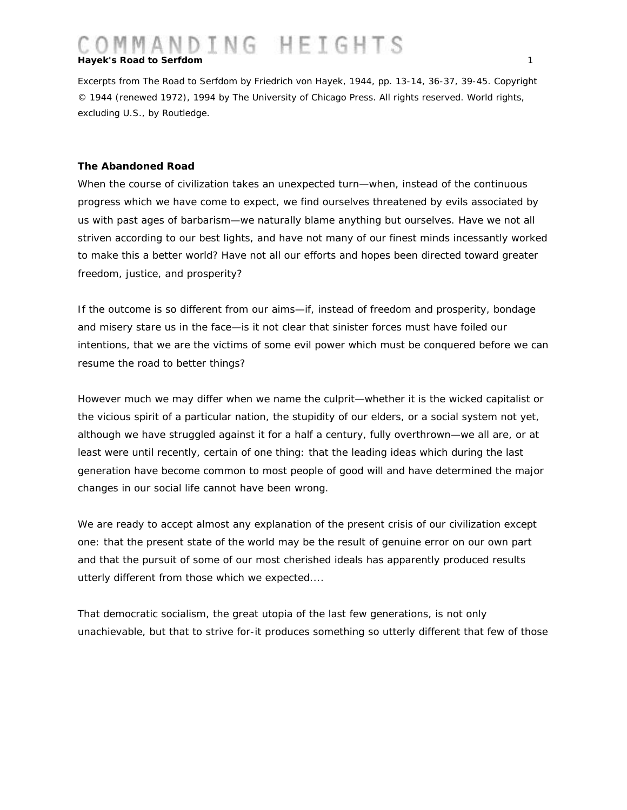## MMANDING HEIGHTS **Hayek's Road to Serfdom** 1

Excerpts from *The Road to Serfdom* by Friedrich von Hayek, 1944, pp. 13-14, 36-37, 39-45. Copyright © 1944 (renewed 1972), 1994 by The University of Chicago Press. All rights reserved. World rights, excluding U.S., by Routledge.

#### **The Abandoned Road**

When the course of civilization takes an unexpected turn—when, instead of the continuous progress which we have come to expect, we find ourselves threatened by evils associated by us with past ages of barbarism—we naturally blame anything but ourselves. Have we not all striven according to our best lights, and have not many of our finest minds incessantly worked to make this a better world? Have not all our efforts and hopes been directed toward greater freedom, justice, and prosperity?

If the outcome is so different from our aims—if, instead of freedom and prosperity, bondage and misery stare us in the face—is it not clear that sinister forces must have foiled our intentions, that we are the victims of some evil power which must be conquered before we can resume the road to better things?

However much we may differ when we name the culprit—whether it is the wicked capitalist or the vicious spirit of a particular nation, the stupidity of our elders, or a social system not yet, although we have struggled against it for a half a century, fully overthrown—we all are, or at least were until recently, certain of one thing: that the leading ideas which during the last generation have become common to most people of good will and have determined the major changes in our social life cannot have been wrong.

We are ready to accept almost any explanation of the present crisis of our civilization except one: that the present state of the world may be the result of genuine error on our own part and that the pursuit of some of our most cherished ideals has apparently produced results utterly different from those which we expected....

That democratic socialism, the great utopia of the last few generations, is not only unachievable, but that to strive for-it produces something so utterly different that few of those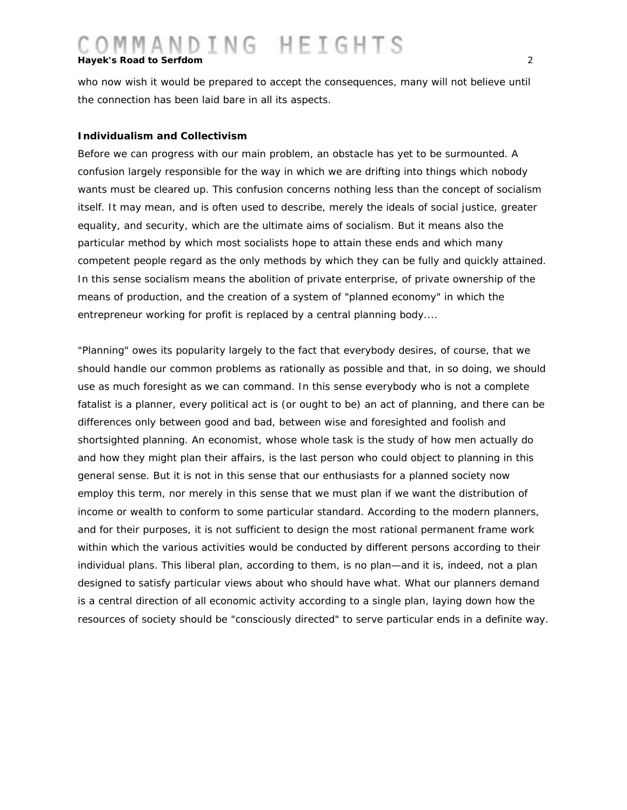## COMMANDING HEIGHTS **Hayek's Road to Serfdom** 2

who now wish it would be prepared to accept the consequences, many will not believe until the connection has been laid bare in all its aspects.

#### **Individualism and Collectivism**

Before we can progress with our main problem, an obstacle has yet to be surmounted. A confusion largely responsible for the way in which we are drifting into things which nobody wants must be cleared up. This confusion concerns nothing less than the concept of socialism itself. It may mean, and is often used to describe, merely the ideals of social justice, greater equality, and security, which are the ultimate aims of socialism. But it means also the particular method by which most socialists hope to attain these ends and which many competent people regard as the only methods by which they can be fully and quickly attained. In this sense socialism means the abolition of private enterprise, of private ownership of the means of production, and the creation of a system of "planned economy" in which the entrepreneur working for profit is replaced by a central planning body....

"Planning" owes its popularity largely to the fact that everybody desires, of course, that we should handle our common problems as rationally as possible and that, in so doing, we should use as much foresight as we can command. In this sense everybody who is not a complete fatalist is a planner, every political act is (or ought to be) an act of planning, and there can be differences only between good and bad, between wise and foresighted and foolish and shortsighted planning. An economist, whose whole task is the study of how men actually do and how they might plan their affairs, is the last person who could object to planning in this general sense. But it is not in this sense that our enthusiasts for a planned society now employ this term, nor merely in this sense that we must plan if we want the distribution of income or wealth to conform to some particular standard. According to the modern planners, and for their purposes, it is not sufficient to design the most rational permanent frame work within which the various activities would be conducted by different persons according to their individual plans. This liberal plan, according to them, is no plan—and it is, indeed, not a plan designed to satisfy particular views about who should have what. What our planners demand is a central direction of all economic activity according to a single plan, laying down how the resources of society should be "consciously directed" to serve particular ends in a definite way.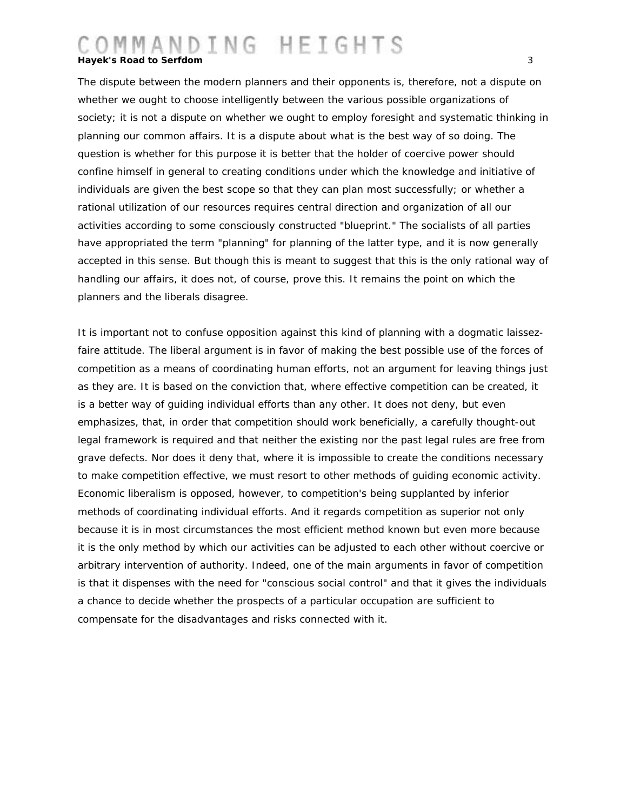## COMMANDING HEIGHTS

### **Hayek's Road to Serfdom** 3

The dispute between the modern planners and their opponents is, therefore, not a dispute on whether we ought to choose intelligently between the various possible organizations of society; it is not a dispute on whether we ought to employ foresight and systematic thinking in planning our common affairs. It is a dispute about what is the best way of so doing. The question is whether for this purpose it is better that the holder of coercive power should confine himself in general to creating conditions under which the knowledge and initiative of individuals are given the best scope so that they can plan most successfully; or whether a rational utilization of our resources requires central direction and organization of all our activities according to some consciously constructed "blueprint." The socialists of all parties have appropriated the term "planning" for planning of the latter type, and it is now generally accepted in this sense. But though this is meant to suggest that this is the only rational way of handling our affairs, it does not, of course, prove this. It remains the point on which the planners and the liberals disagree.

It is important not to confuse opposition against this kind of planning with a dogmatic laissezfaire attitude. The liberal argument is in favor of making the best possible use of the forces of competition as a means of coordinating human efforts, not an argument for leaving things just as they are. It is based on the conviction that, where effective competition can be created, it is a better way of guiding individual efforts than any other. It does not deny, but even emphasizes, that, in order that competition should work beneficially, a carefully thought-out legal framework is required and that neither the existing nor the past legal rules are free from grave defects. Nor does it deny that, where it is impossible to create the conditions necessary to make competition effective, we must resort to other methods of guiding economic activity. Economic liberalism is opposed, however, to competition's being supplanted by inferior methods of coordinating individual efforts. And it regards competition as superior not only because it is in most circumstances the most efficient method known but even more because it is the only method by which our activities can be adjusted to each other without coercive or arbitrary intervention of authority. Indeed, one of the main arguments in favor of competition is that it dispenses with the need for "conscious social control" and that it gives the individuals a chance to decide whether the prospects of a particular occupation are sufficient to compensate for the disadvantages and risks connected with it.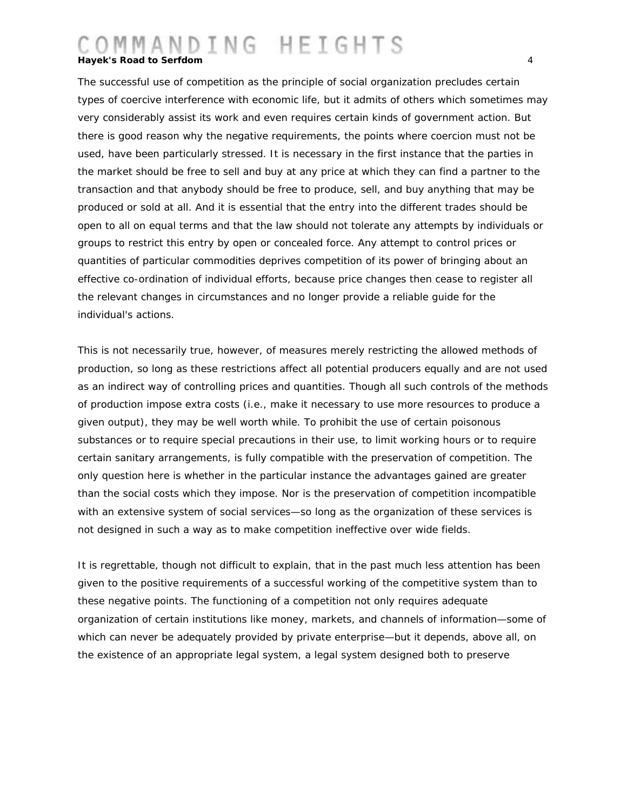## COMMANDING HEIGHTS **Hayek's Road to Serfdom** 4

The successful use of competition as the principle of social organization precludes certain types of coercive interference with economic life, but it admits of others which sometimes may very considerably assist its work and even requires certain kinds of government action. But there is good reason why the negative requirements, the points where coercion must not be used, have been particularly stressed. It is necessary in the first instance that the parties in the market should be free to sell and buy at any price at which they can find a partner to the transaction and that anybody should be free to produce, sell, and buy anything that may be produced or sold at all. And it is essential that the entry into the different trades should be open to all on equal terms and that the law should not tolerate any attempts by individuals or groups to restrict this entry by open or concealed force. Any attempt to control prices or quantities of particular commodities deprives competition of its power of bringing about an effective co-ordination of individual efforts, because price changes then cease to register all the relevant changes in circumstances and no longer provide a reliable guide for the individual's actions.

This is not necessarily true, however, of measures merely restricting the allowed methods of production, so long as these restrictions affect all potential producers equally and are not used as an indirect way of controlling prices and quantities. Though all such controls of the methods of production impose extra costs (i.e., make it necessary to use more resources to produce a given output), they may be well worth while. To prohibit the use of certain poisonous substances or to require special precautions in their use, to limit working hours or to require certain sanitary arrangements, is fully compatible with the preservation of competition. The only question here is whether in the particular instance the advantages gained are greater than the social costs which they impose. Nor is the preservation of competition incompatible with an extensive system of social services—so long as the organization of these services is not designed in such a way as to make competition ineffective over wide fields.

It is regrettable, though not difficult to explain, that in the past much less attention has been given to the positive requirements of a successful working of the competitive system than to these negative points. The functioning of a competition not only requires adequate organization of certain institutions like money, markets, and channels of information—some of which can never be adequately provided by private enterprise—but it depends, above all, on the existence of an appropriate legal system, a legal system designed both to preserve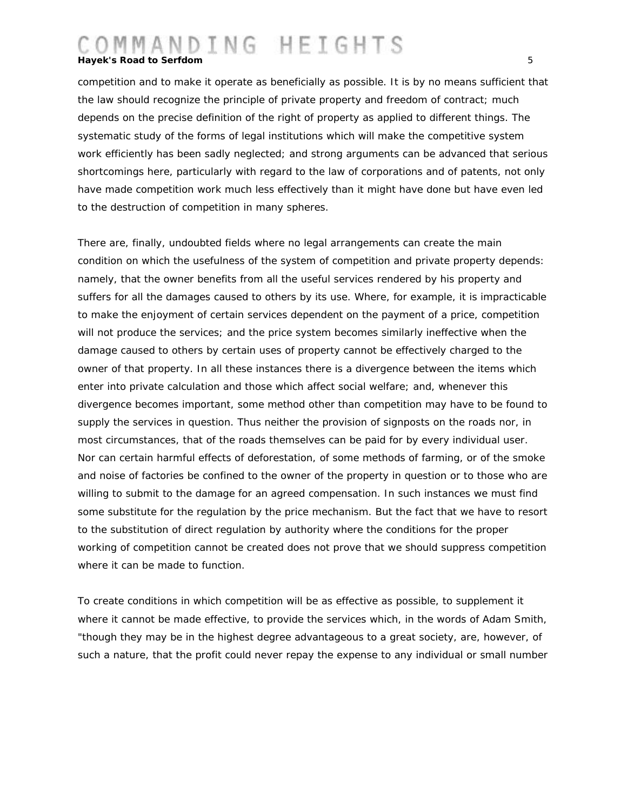## COMMANDING HEIGHTS **Hayek's Road to Serfdom** 5

competition and to make it operate as beneficially as possible. It is by no means sufficient that the law should recognize the principle of private property and freedom of contract; much depends on the precise definition of the right of property as applied to different things. The systematic study of the forms of legal institutions which will make the competitive system work efficiently has been sadly neglected; and strong arguments can be advanced that serious shortcomings here, particularly with regard to the law of corporations and of patents, not only have made competition work much less effectively than it might have done but have even led to the destruction of competition in many spheres.

There are, finally, undoubted fields where no legal arrangements can create the main condition on which the usefulness of the system of competition and private property depends: namely, that the owner benefits from all the useful services rendered by his property and suffers for all the damages caused to others by its use. Where, for example, it is impracticable to make the enjoyment of certain services dependent on the payment of a price, competition will not produce the services; and the price system becomes similarly ineffective when the damage caused to others by certain uses of property cannot be effectively charged to the owner of that property. In all these instances there is a divergence between the items which enter into private calculation and those which affect social welfare; and, whenever this divergence becomes important, some method other than competition may have to be found to supply the services in question. Thus neither the provision of signposts on the roads nor, in most circumstances, that of the roads themselves can be paid for by every individual user. Nor can certain harmful effects of deforestation, of some methods of farming, or of the smoke and noise of factories be confined to the owner of the property in question or to those who are willing to submit to the damage for an agreed compensation. In such instances we must find some substitute for the regulation by the price mechanism. But the fact that we have to resort to the substitution of direct regulation by authority where the conditions for the proper working of competition cannot be created does not prove that we should suppress competition where it can be made to function.

To create conditions in which competition will be as effective as possible, to supplement it where it cannot be made effective, to provide the services which, in the words of Adam Smith, "though they may be in the highest degree advantageous to a great society, are, however, of such a nature, that the profit could never repay the expense to any individual or small number